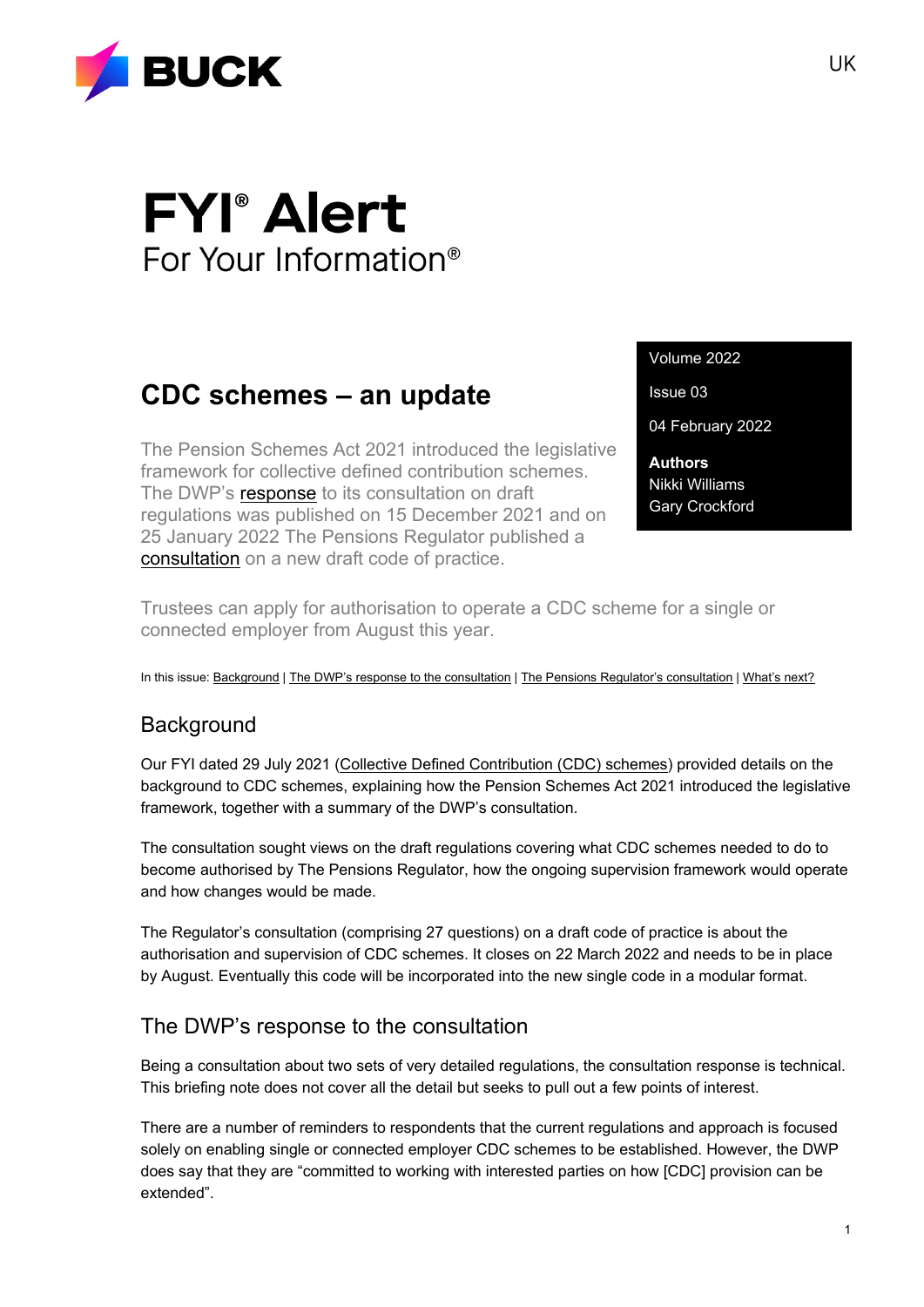

# **FYI**<sup>®</sup> Alert For Your Information<sup>®</sup>

# **CDC schemes – an update**

The Pension Schemes Act 2021 introduced the legislative framework for collective defined contribution schemes. The DWP's [response](https://www.gov.uk/government/consultations/the-occupational-pension-schemes-collective-money-purchase-schemes-regulations-2021) to its consultation on draft regulations was published on 15 December 2021 and on 25 January 2022 The Pensions Regulator published a [consultation](https://www.thepensionsregulator.gov.uk/en/document-library/consultations/collective-defined-contribution-code-consultation) on a new draft code of practice.

Volume 2022

Issue 03

04 February 2022

**Authors** Nikki Williams Gary Crockford

Trustees can apply for authorisation to operate a CDC scheme for a single or connected employer from August this year.

In this issue: [Background](#page-0-0) [| The DWP's response to the consultation](#page-0-1) | [The Pensions Regulator's consultation](#page-1-0) | [What's next?](#page-3-0)

# <span id="page-0-0"></span>**Background**

Our FYI dated 29 July 2021 [\(Collective Defined Contribution \(CDC\) schemes\)](https://buck.com/uk/collective-defined-contribution-cdc-schemes/) provided details on the background to CDC schemes, explaining how the Pension Schemes Act 2021 introduced the legislative framework, together with a summary of the DWP's consultation.

The consultation sought views on the draft regulations covering what CDC schemes needed to do to become authorised by The Pensions Regulator, how the ongoing supervision framework would operate and how changes would be made.

The Regulator's consultation (comprising 27 questions) on a draft code of practice is about the authorisation and supervision of CDC schemes. It closes on 22 March 2022 and needs to be in place by August. Eventually this code will be incorporated into the new single code in a modular format.

# <span id="page-0-1"></span>The DWP's response to the consultation

Being a consultation about two sets of very detailed regulations, the consultation response is technical. This briefing note does not cover all the detail but seeks to pull out a few points of interest.

There are a number of reminders to respondents that the current regulations and approach is focused solely on enabling single or connected employer CDC schemes to be established. However, the DWP does say that they are "committed to working with interested parties on how [CDC] provision can be extended".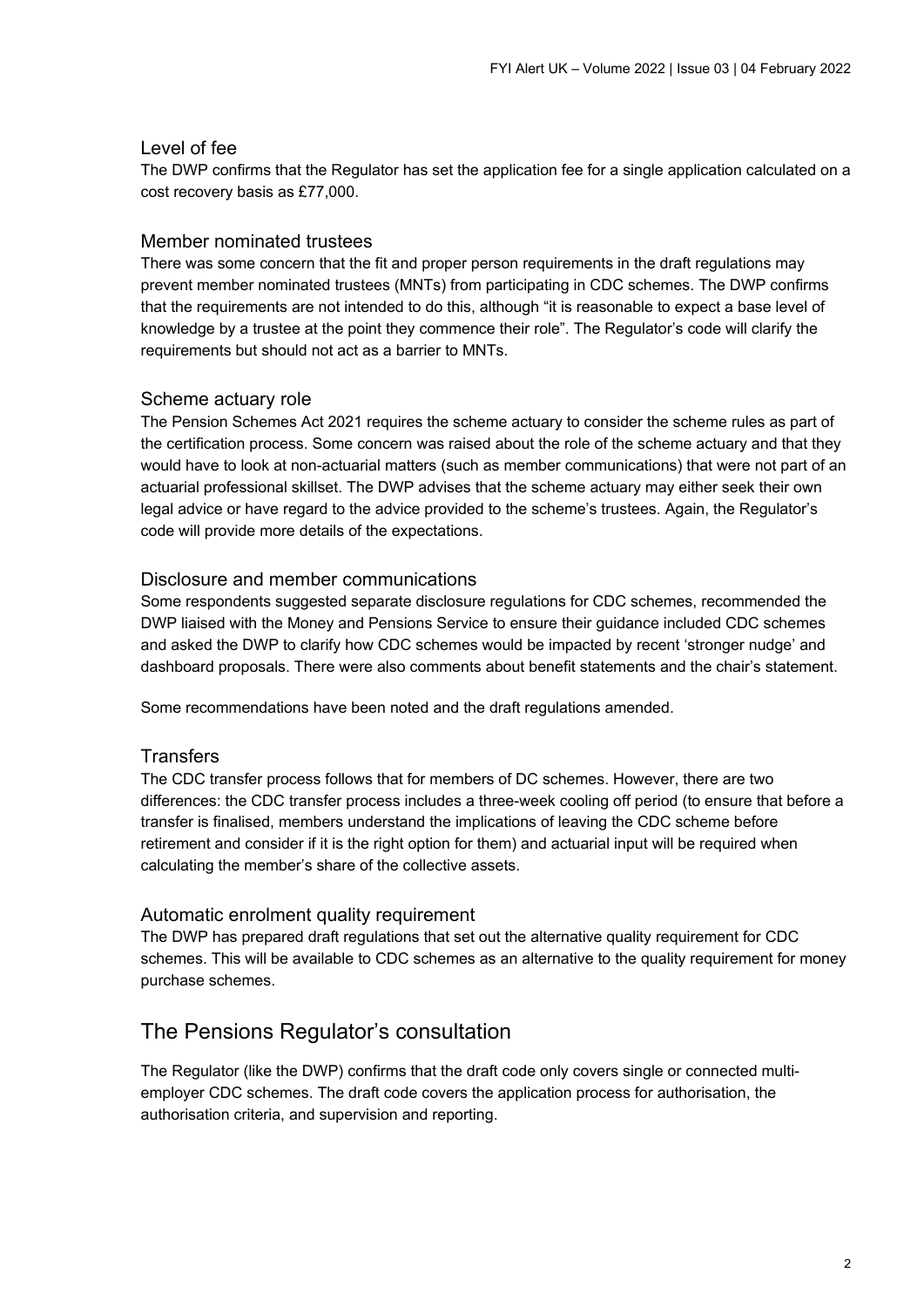#### Level of fee

The DWP confirms that the Regulator has set the application fee for a single application calculated on a cost recovery basis as £77,000.

#### Member nominated trustees

There was some concern that the fit and proper person requirements in the draft regulations may prevent member nominated trustees (MNTs) from participating in CDC schemes. The DWP confirms that the requirements are not intended to do this, although "it is reasonable to expect a base level of knowledge by a trustee at the point they commence their role". The Regulator's code will clarify the requirements but should not act as a barrier to MNTs.

#### Scheme actuary role

The Pension Schemes Act 2021 requires the scheme actuary to consider the scheme rules as part of the certification process. Some concern was raised about the role of the scheme actuary and that they would have to look at non-actuarial matters (such as member communications) that were not part of an actuarial professional skillset. The DWP advises that the scheme actuary may either seek their own legal advice or have regard to the advice provided to the scheme's trustees. Again, the Regulator's code will provide more details of the expectations.

#### Disclosure and member communications

Some respondents suggested separate disclosure regulations for CDC schemes, recommended the DWP liaised with the Money and Pensions Service to ensure their guidance included CDC schemes and asked the DWP to clarify how CDC schemes would be impacted by recent 'stronger nudge' and dashboard proposals. There were also comments about benefit statements and the chair's statement.

Some recommendations have been noted and the draft regulations amended.

#### **Transfers**

The CDC transfer process follows that for members of DC schemes. However, there are two differences: the CDC transfer process includes a three-week cooling off period (to ensure that before a transfer is finalised, members understand the implications of leaving the CDC scheme before retirement and consider if it is the right option for them) and actuarial input will be required when calculating the member's share of the collective assets.

#### Automatic enrolment quality requirement

The DWP has prepared draft regulations that set out the alternative quality requirement for CDC schemes. This will be available to CDC schemes as an alternative to the quality requirement for money purchase schemes.

# <span id="page-1-0"></span>The Pensions Regulator's consultation

The Regulator (like the DWP) confirms that the draft code only covers single or connected multiemployer CDC schemes. The draft code covers the application process for authorisation, the authorisation criteria, and supervision and reporting.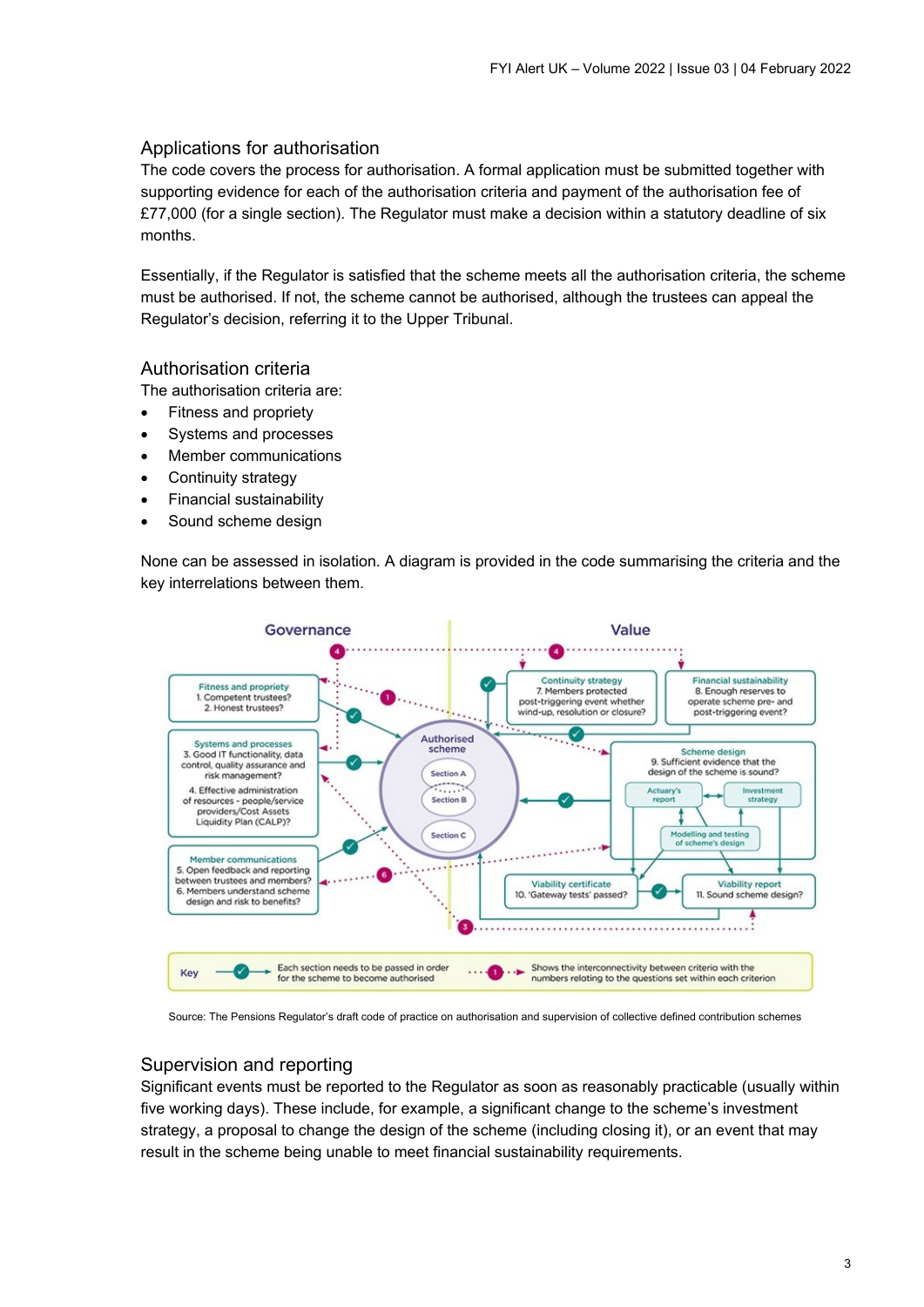#### Applications for authorisation

The code covers the process for authorisation. A formal application must be submitted together with supporting evidence for each of the authorisation criteria and payment of the authorisation fee of £77,000 (for a single section). The Regulator must make a decision within a statutory deadline of six months.

Essentially, if the Regulator is satisfied that the scheme meets all the authorisation criteria, the scheme must be authorised. If not, the scheme cannot be authorised, although the trustees can appeal the Regulator's decision, referring it to the Upper Tribunal.

#### Authorisation criteria

The authorisation criteria are:

- Fitness and propriety
- Systems and processes
- Member communications
- Continuity strategy
- Financial sustainability
- Sound scheme design

None can be assessed in isolation. A diagram is provided in the code summarising the criteria and the key interrelations between them.



Source: The Pensions Regulator's draft code of practice on authorisation and supervision of collective defined contribution schemes

#### Supervision and reporting

Significant events must be reported to the Regulator as soon as reasonably practicable (usually within five working days). These include, for example, a significant change to the scheme's investment strategy, a proposal to change the design of the scheme (including closing it), or an event that may result in the scheme being unable to meet financial sustainability requirements.